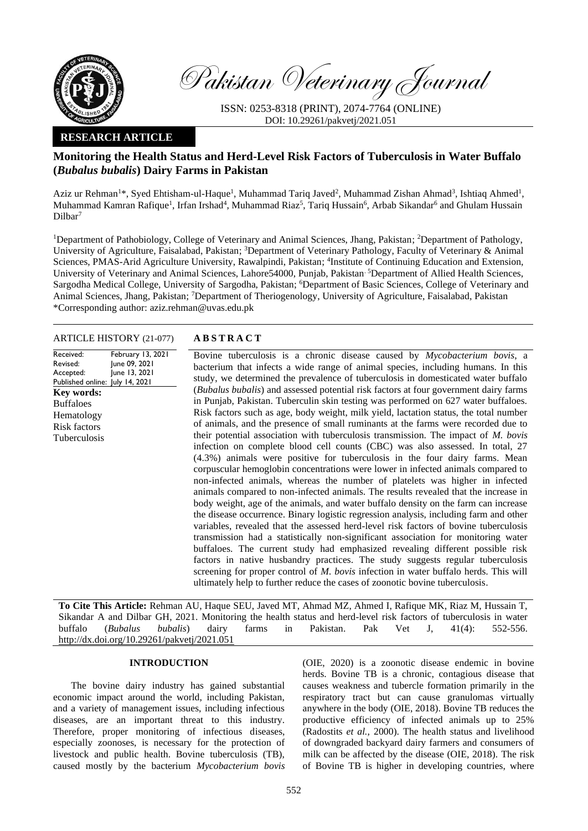

Pakistan Veterinary Journal

ISSN: 0253-8318 (PRINT), 2074-7764 (ONLINE) DOI: 10.29261/pakvetj/2021.051

# **RESEARCH ARTICLE**

# **Monitoring the Health Status and Herd-Level Risk Factors of Tuberculosis in Water Buffalo (***Bubalus bubalis***) Dairy Farms in Pakistan**

Aziz ur Rehman<sup>1\*</sup>, Syed Ehtisham-ul-Haque<sup>1</sup>, Muhammad Tariq Javed<sup>2</sup>, Muhammad Zishan Ahmad<sup>3</sup>, Ishtiaq Ahmed<sup>1</sup>, Muhammad Kamran Rafique<sup>1</sup>, Irfan Irshad<sup>4</sup>, Muhammad Riaz<sup>5</sup>, Tariq Hussain<sup>6</sup>, Arbab Sikandar<sup>6</sup> and Ghulam Hussain Dilbar<sup>7</sup>

<sup>1</sup>Department of Pathobiology, College of Veterinary and Animal Sciences, Jhang, Pakistan; <sup>2</sup>Department of Pathology, University of Agriculture, Faisalabad, Pakistan; <sup>3</sup>Department of Veterinary Pathology, Faculty of Veterinary & Animal Sciences, PMAS-Arid Agriculture University, Rawalpindi, Pakistan; <sup>4</sup>Institute of Continuing Education and Extension, University of Veterinary and Animal Sciences, Lahore54000, Punjab, Pakistan<sup>5</sup>Department of Allied Health Sciences, Sargodha Medical College, University of Sargodha, Pakistan; <sup>6</sup>Department of Basic Sciences, College of Veterinary and Animal Sciences, Jhang, Pakistan; <sup>7</sup>Department of Theriogenology, University of Agriculture, Faisalabad, Pakistan \*Corresponding author: aziz.rehman@uvas.edu.pk

#### ARTICLE HISTORY (21-077) **A B S T R A C T**

| February 13, 2021               |
|---------------------------------|
|                                 |
| June 09, 2021                   |
| June 13, 2021                   |
| Published online: July 14, 2021 |
|                                 |
|                                 |
|                                 |
|                                 |
|                                 |
|                                 |
|                                 |
|                                 |
|                                 |
|                                 |
|                                 |
|                                 |
|                                 |
|                                 |
|                                 |
|                                 |
|                                 |

Bovine tuberculosis is a chronic disease caused by *Mycobacterium bovis*, a bacterium that infects a wide range of animal species, including humans. In this study, we determined the prevalence of tuberculosis in domesticated water buffalo (*Bubalus bubalis*) and assessed potential risk factors at four government dairy farms in Punjab, Pakistan. Tuberculin skin testing was performed on 627 water buffaloes. Risk factors such as age, body weight, milk yield, lactation status, the total number of animals, and the presence of small ruminants at the farms were recorded due to their potential association with tuberculosis transmission. The impact of *M. bovis* infection on complete blood cell counts (CBC) was also assessed. In total, 27 (4.3%) animals were positive for tuberculosis in the four dairy farms. Mean corpuscular hemoglobin concentrations were lower in infected animals compared to non-infected animals, whereas the number of platelets was higher in infected animals compared to non-infected animals. The results revealed that the increase in body weight, age of the animals, and water buffalo density on the farm can increase the disease occurrence. Binary logistic regression analysis, including farm and other variables, revealed that the assessed herd-level risk factors of bovine tuberculosis transmission had a statistically non-significant association for monitoring water buffaloes. The current study had emphasized revealing different possible risk factors in native husbandry practices. The study suggests regular tuberculosis screening for proper control of *M. bovis* infection in water buffalo herds. This will ultimately help to further reduce the cases of zoonotic bovine tuberculosis.

**To Cite This Article:** Rehman AU, Haque SEU, Javed MT, Ahmad MZ, Ahmed I, Rafique MK, Riaz M, Hussain T, Sikandar A and Dilbar GH, 2021. Monitoring the health status and herd-level risk factors of tuberculosis in water buffalo (*Bubalus bubalis*) dairy farms in Pakistan. Pak Vet J, 41(4): 552-556. [http://dx.doi.org/10.29261/pakvetj/2021.051](http://pvj.com.pk/pdf-files/41_4/552-556.pdf)

#### **INTRODUCTION**

The bovine dairy industry has gained substantial economic impact around the world, including Pakistan, and a variety of management issues, including infectious diseases, are an important threat to this industry. Therefore, proper monitoring of infectious diseases, especially zoonoses, is necessary for the protection of livestock and public health. Bovine tuberculosis (TB), caused mostly by the bacterium *Mycobacterium bovis*

(OIE, 2020) is a zoonotic disease endemic in bovine herds. Bovine TB is a chronic, contagious disease that causes weakness and tubercle formation primarily in the respiratory tract but can cause granulomas virtually anywhere in the body (OIE, 2018). Bovine TB reduces the productive efficiency of infected animals up to 25% (Radostits *et al.,* 2000). The health status and livelihood of downgraded backyard dairy farmers and consumers of milk can be affected by the disease (OIE, 2018). The risk of Bovine TB is higher in developing countries, where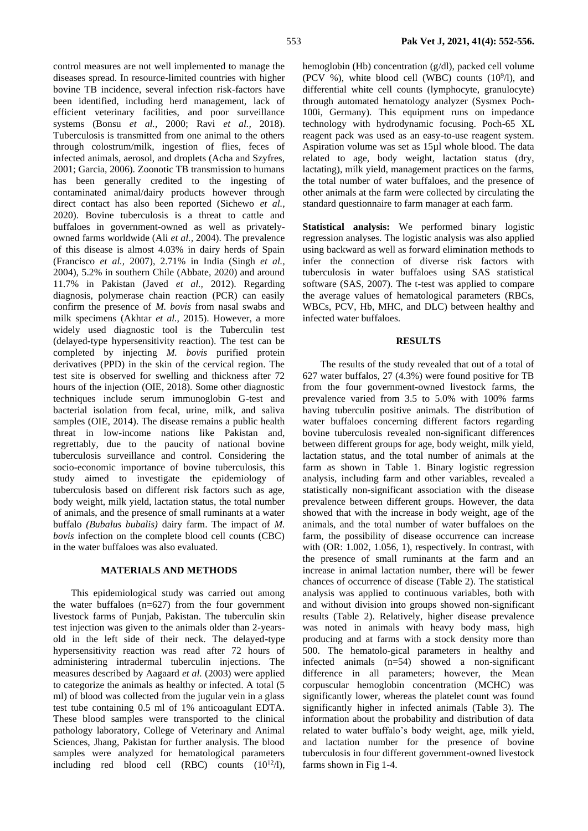control measures are not well implemented to manage the diseases spread. In resource-limited countries with higher bovine TB incidence, several infection risk-factors have been identified, including herd management, lack of efficient veterinary facilities, and poor surveillance systems (Bonsu *et al.,* 2000; Ravi *et al.,* 2018). Tuberculosis is transmitted from one animal to the others through colostrum/milk, ingestion of flies, feces of infected animals, aerosol, and droplets (Acha and Szyfres, 2001; Garcia, 2006). Zoonotic TB transmission to humans has been generally credited to the ingesting of contaminated animal/dairy products however through direct contact has also been reported (Sichewo *et al.,* 2020). Bovine tuberculosis is a threat to cattle and buffaloes in government-owned as well as privatelyowned farms worldwide (Ali *et al.,* 2004). The prevalence of this disease is almost 4.03% in dairy herds of Spain (Francisco *et al.,* 2007), 2.71% in India (Singh *et al.,* 2004), 5.2% in southern Chile (Abbate, 2020) and around 11.7% in Pakistan (Javed *et al.,* 2012). Regarding diagnosis, polymerase chain reaction (PCR) can easily confirm the presence of *M. bovis* from nasal swabs and milk specimens (Akhtar *et al.,* 2015). However, a more widely used diagnostic tool is the Tuberculin test (delayed-type hypersensitivity reaction). The test can be completed by injecting *M. bovis* purified protein derivatives (PPD) in the skin of the cervical region. The test site is observed for swelling and thickness after 72 hours of the injection (OIE, 2018). Some other diagnostic techniques include serum immunoglobin G-test and bacterial isolation from fecal, urine, milk, and saliva samples (OIE, 2014). The disease remains a public health threat in low-income nations like Pakistan and, regrettably, due to the paucity of national bovine tuberculosis surveillance and control. Considering the socio-economic importance of bovine tuberculosis, this study aimed to investigate the epidemiology of tuberculosis based on different risk factors such as age, body weight, milk yield, lactation status, the total number of animals, and the presence of small ruminants at a water buffalo *(Bubalus bubalis)* dairy farm. The impact of *M. bovis* infection on the complete blood cell counts (CBC) in the water buffaloes was also evaluated.

#### **MATERIALS AND METHODS**

This epidemiological study was carried out among the water buffaloes (n=627) from the four government livestock farms of Punjab, Pakistan. The tuberculin skin test injection was given to the animals older than 2-yearsold in the left side of their neck. The delayed-type hypersensitivity reaction was read after 72 hours of administering intradermal tuberculin injections. The measures described by Aagaard *et al.* (2003) were applied to categorize the animals as healthy or infected. A total (5 ml) of blood was collected from the jugular vein in a glass test tube containing 0.5 ml of 1% anticoagulant EDTA. These blood samples were transported to the clinical pathology laboratory, College of Veterinary and Animal Sciences, Jhang, Pakistan for further analysis. The blood samples were analyzed for hematological parameters including red blood cell (RBC) counts  $(10^{12}/l)$ ,

hemoglobin (Hb) concentration (g/dl), packed cell volume (PCV %), white blood cell (WBC) counts  $(10<sup>9</sup>/l)$ , and differential white cell counts (lymphocyte, granulocyte) through automated hematology analyzer (Sysmex Poch-100i, Germany). This equipment runs on impedance technology with hydrodynamic focusing. Poch-65 XL reagent pack was used as an easy-to-use reagent system. Aspiration volume was set as 15µl whole blood. The data related to age, body weight, lactation status (dry, lactating), milk yield, management practices on the farms, the total number of water buffaloes, and the presence of other animals at the farm were collected by circulating the standard questionnaire to farm manager at each farm.

**Statistical analysis:** We performed binary logistic regression analyses. The logistic analysis was also applied using backward as well as forward elimination methods to infer the connection of diverse risk factors with tuberculosis in water buffaloes using SAS statistical software (SAS, 2007). The t-test was applied to compare the average values of hematological parameters (RBCs, WBCs, PCV, Hb, MHC, and DLC) between healthy and infected water buffaloes.

## **RESULTS**

The results of the study revealed that out of a total of 627 water buffalos, 27 (4.3%) were found positive for TB from the four government-owned livestock farms, the prevalence varied from 3.5 to 5.0% with 100% farms having tuberculin positive animals. The distribution of water buffaloes concerning different factors regarding bovine tuberculosis revealed non-significant differences between different groups for age, body weight, milk yield, lactation status, and the total number of animals at the farm as shown in Table 1. Binary logistic regression analysis, including farm and other variables, revealed a statistically non-significant association with the disease prevalence between different groups. However, the data showed that with the increase in body weight, age of the animals, and the total number of water buffaloes on the farm, the possibility of disease occurrence can increase with (OR: 1.002, 1.056, 1), respectively. In contrast, with the presence of small ruminants at the farm and an increase in animal lactation number, there will be fewer chances of occurrence of disease (Table 2). The statistical analysis was applied to continuous variables, both with and without division into groups showed non-significant results (Table 2). Relatively, higher disease prevalence was noted in animals with heavy body mass, high producing and at farms with a stock density more than 500. The hematolo-gical parameters in healthy and infected animals (n=54) showed a non-significant difference in all parameters; however, the Mean corpuscular hemoglobin concentration (MCHC) was significantly lower, whereas the platelet count was found significantly higher in infected animals (Table 3). The information about the probability and distribution of data related to water buffalo's body weight, age, milk yield, and lactation number for the presence of bovine tuberculosis in four different government-owned livestock farms shown in Fig 1-4.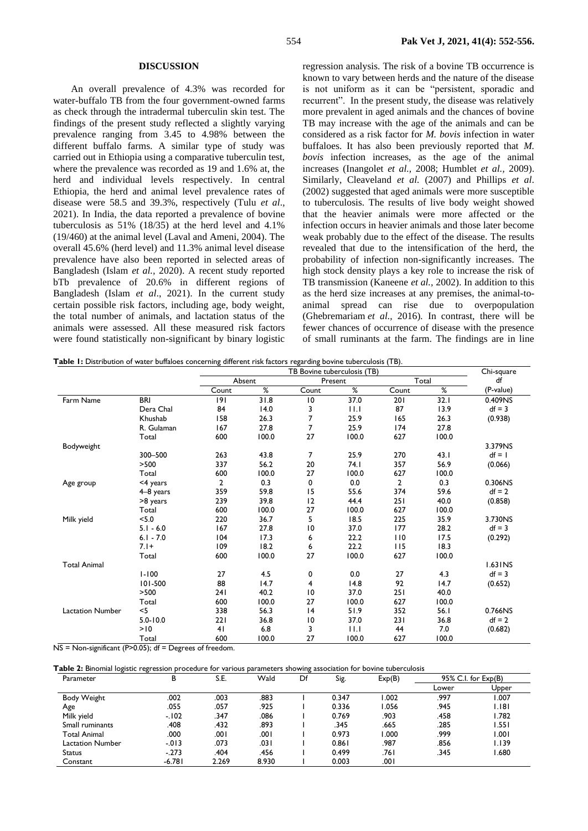#### **DISCUSSION**

An overall prevalence of 4.3% was recorded for water-buffalo TB from the four government-owned farms as check through the intradermal tuberculin skin test. The findings of the present study reflected a slightly varying prevalence ranging from 3.45 to 4.98% between the different buffalo farms. A similar type of study was carried out in Ethiopia using a comparative tuberculin test, where the prevalence was recorded as 19 and 1.6% at, the herd and individual levels respectively. In central Ethiopia, the herd and animal level prevalence rates of disease were 58.5 and 39.3%, respectively (Tulu *et al*., 2021). In India, the data reported a prevalence of bovine tuberculosis as 51% (18/35) at the herd level and 4.1% (19/460) at the animal level (Laval and Ameni, 2004). The overall 45.6% (herd level) and 11.3% animal level disease prevalence have also been reported in selected areas of Bangladesh (Islam *et al.,* 2020). A recent study reported bTb prevalence of 20.6% in different regions of Bangladesh (Islam *et al*., 2021). In the current study certain possible risk factors, including age, body weight, the total number of animals, and lactation status of the animals were assessed. All these measured risk factors were found statistically non-significant by binary logistic regression analysis. The risk of a bovine TB occurrence is known to vary between herds and the nature of the disease is not uniform as it can be "persistent, sporadic and recurrent". In the present study, the disease was relatively more prevalent in aged animals and the chances of bovine TB may increase with the age of the animals and can be considered as a risk factor for *M. bovis* infection in water buffaloes. It has also been previously reported that *M. bovis* infection increases, as the age of the animal increases (Inangolet *et al.,* 2008; Humblet *et al.,* 2009). Similarly, Cleaveland *et al.* (2007) and Phillips *et al*. (2002) suggested that aged animals were more susceptible to tuberculosis. The results of live body weight showed that the heavier animals were more affected or the infection occurs in heavier animals and those later become weak probably due to the effect of the disease. The results revealed that due to the intensification of the herd, the probability of infection non-significantly increases. The high stock density plays a key role to increase the risk of TB transmission (Kaneene *et al.,* 2002). In addition to this as the herd size increases at any premises, the animal-toanimal spread can rise due to overpopulation [\(Ghebremariam](http://researcherslinks.com/current-issues/Bovine-Tuberculosis-Prevalence-and-Associated/20/1/1810/PJZ_51_1_127-133.html#_idTextAnchor012) *et al.,* 2016)*.* In contrast, there will be fewer chances of occurrence of disease with the presence of small ruminants at the farm. The findings are in line

**Table 1:** Distribution of water buffaloes concerning different risk factors regarding bovine tuberculosis (TB).

|                         |              | TB Bovine tuberculosis (TB) |       |                 |       |                | Chi-square |           |
|-------------------------|--------------|-----------------------------|-------|-----------------|-------|----------------|------------|-----------|
|                         |              | Absent                      |       | Present         |       | Total          |            | df        |
|                         |              | Count                       | %     | Count           | %     | Count          | %          | (P-value) |
| Farm Name               | <b>BRI</b>   | 9                           | 31.8  | 10              | 37.0  | 201            | 32.1       | 0.409NS   |
|                         | Dera Chal    | 84                          | 14.0  | 3               | 11.1  | 87             | 13.9       | $df = 3$  |
|                         | Khushab      | 158                         | 26.3  | 7               | 25.9  | 165            | 26.3       | (0.938)   |
|                         | R. Gulaman   | 167                         | 27.8  | 7               | 25.9  | 174            | 27.8       |           |
|                         | Total        | 600                         | 100.0 | 27              | 100.0 | 627            | 100.0      |           |
| Bodyweight              |              |                             |       |                 |       |                |            | 3.379NS   |
|                         | 300-500      | 263                         | 43.8  | 7               | 25.9  | 270            | 43.1       | $df = 1$  |
|                         | >500         | 337                         | 56.2  | 20              | 74.1  | 357            | 56.9       | (0.066)   |
|                         | Total        | 600                         | 100.0 | 27              | 100.0 | 627            | 100.0      |           |
| Age group               | <4 years     | 2                           | 0.3   | 0               | 0.0   | $\overline{2}$ | 0.3        | 0.306NS   |
|                         | 4-8 years    | 359                         | 59.8  | 15              | 55.6  | 374            | 59.6       | $df = 2$  |
|                         | >8 years     | 239                         | 39.8  | 12              | 44.4  | 251            | 40.0       | (0.858)   |
|                         | Total        | 600                         | 100.0 | 27              | 100.0 | 627            | 100.0      |           |
| Milk yield              | < 5.0        | 220                         | 36.7  | 5               | 18.5  | 225            | 35.9       | 3.730NS   |
|                         | $5.1 - 6.0$  | 167                         | 27.8  | $\overline{10}$ | 37.0  | 177            | 28.2       | $df = 3$  |
|                         | $6.1 - 7.0$  | 104                         | 17.3  | 6               | 22.2  | 110            | 17.5       | (0.292)   |
|                         | $7.1+$       | 109                         | 18.2  | 6               | 22.2  | 115            | 18.3       |           |
|                         | Total        | 600                         | 100.0 | 27              | 100.0 | 627            | 100.0      |           |
| <b>Total Animal</b>     |              |                             |       |                 |       |                |            | 1.63 INS  |
|                         | $1 - 100$    | 27                          | 4.5   | 0               | 0.0   | 27             | 4.3        | $df = 3$  |
|                         | 101-500      | 88                          | 14.7  | 4               | 14.8  | 92             | 14.7       | (0.652)   |
|                         | >500         | 241                         | 40.2  | $\overline{10}$ | 37.0  | 251            | 40.0       |           |
|                         | Total        | 600                         | 100.0 | 27              | 100.0 | 627            | 100.0      |           |
| <b>Lactation Number</b> | $<$ 5        | 338                         | 56.3  | 4               | 51.9  | 352            | 56.1       | 0.766NS   |
|                         | $5.0 - 10.0$ | 221                         | 36.8  | 10              | 37.0  | 231            | 36.8       | $df = 2$  |
|                         | >10          | 41                          | 6.8   | 3               | 11.1  | 44             | 7.0        | (0.682)   |
|                         | Total        | 600                         | 100.0 | 27              | 100.0 | 627            | 100.0      |           |

 $NS = Non-significant (P>0.05); df = Degrees of freedom.$ 

#### **Table 2:** Binomial logistic regression procedure for various parameters showing association for bovine tuberculosis

| Parameter           |          | В     | S.E.  | Wald | Df    | Sig.  | Exp(B) |       | $95\%$ C.I. for $Exp(B)$ |
|---------------------|----------|-------|-------|------|-------|-------|--------|-------|--------------------------|
|                     |          |       |       |      |       |       | Lower  | Upper |                          |
| Body Weight         | .002     | .003  | .883  |      | 0.347 | 1.002 | .997   | 1.007 |                          |
| Age                 | .055     | .057  | .925  |      | 0.336 | 1.056 | .945   | I.I8I |                          |
| Milk yield          | $-102$   | .347  | .086  |      | 0.769 | .903  | .458   | 1.782 |                          |
| Small ruminants     | .408     | .432  | .893  |      | .345  | .665  | .285   | 1.551 |                          |
| <b>Total Animal</b> | .000     | .001  | .001  |      | 0.973 | 1.000 | .999   | 1.001 |                          |
| Lactation Number    | $-013$   | .073  | .03 I |      | 0.861 | .987  | .856   | 1.139 |                          |
| Status              | $-273$   | .404  | .456  |      | 0.499 | ا 76. | .345   | 1.680 |                          |
| Constant            | $-6.781$ | 2.269 | 8.930 |      | 0.003 | ا 00. |        |       |                          |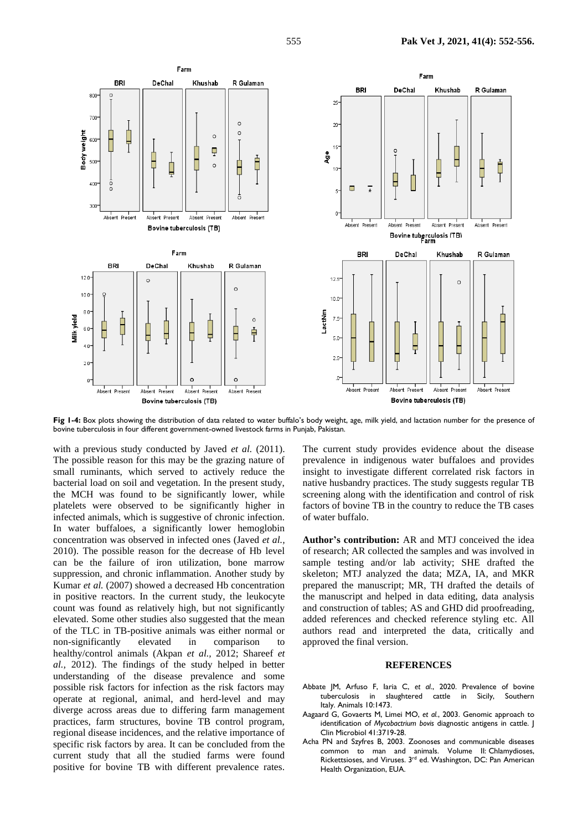

**Fig 1-4:** Box plots showing the distribution of data related to water buffalo's body weight, age, milk yield, and lactation number for the presence of bovine tuberculosis in four different government-owned livestock farms in Punjab, Pakistan.

with a previous study conducted by Javed *et al.* (2011). The possible reason for this may be the grazing nature of small ruminants, which served to actively reduce the bacterial load on soil and vegetation. In the present study, the MCH was found to be significantly lower, while platelets were observed to be significantly higher in infected animals, which is suggestive of chronic infection. In water buffaloes, a significantly lower hemoglobin concentration was observed in infected ones (Javed *et al.,* 2010). The possible reason for the decrease of Hb level can be the failure of iron utilization, bone marrow suppression, and chronic inflammation. Another study by Kumar *et al.* (2007) showed a decreased Hb concentration in positive reactors. In the current study, the leukocyte count was found as relatively high, but not significantly elevated. Some other studies also suggested that the mean of the TLC in TB-positive animals was either normal or non-significantly elevated in comparison to healthy/control animals (Akpan *et al.,* 2012; Shareef *et al.,* 2012). The findings of the study helped in better understanding of the disease prevalence and some possible risk factors for infection as the risk factors may operate at regional, animal, and herd-level and may diverge across areas due to differing farm management practices, farm structures, bovine TB control program, regional disease incidences, and the relative importance of specific risk factors by area. It can be concluded from the current study that all the studied farms were found positive for bovine TB with different prevalence rates.

The current study provides evidence about the disease prevalence in indigenous water buffaloes and provides insight to investigate different correlated risk factors in native husbandry practices. The study suggests regular TB screening along with the identification and control of risk factors of bovine TB in the country to reduce the TB cases of water buffalo.

**Author's contribution:** AR and MTJ conceived the idea of research; AR collected the samples and was involved in sample testing and/or lab activity; SHE drafted the skeleton; MTJ analyzed the data; MZA, IA, and MKR prepared the manuscript; MR, TH drafted the details of the manuscript and helped in data editing, data analysis and construction of tables; AS and GHD did proofreading, added references and checked reference styling etc. All authors read and interpreted the data, critically and approved the final version.

## **REFERENCES**

- Abbate JM, Arfuso F, Iaria C, *et al*., 2020. Prevalence of bovine tuberculosis in slaughtered cattle in Sicily, Italy. Animals 10:1473.
- Aagaard G, Govaerts M, Limei MO, *et al.*, 2003. Genomic approach to identification of *Mycobactrium bovis* diagnostic antigens in cattle. J Clin Microbiol 41:3719-28.
- Acha PN and Szyfres B, 2003. Zoonoses and communicable diseases common to man and animals. Volume II: Chlamydioses, Rickettsioses, and Viruses. 3<sup>rd</sup> ed. Washington, DC: Pan American Health Organization, EUA.